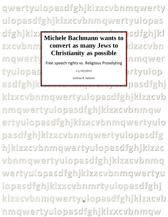**qwertyuiopasdfghjklzxcvbnmqwerty uiopasdfghjklzxcvbnmqwertyuiopas**

tyuiopas was were the control of

dfghjklzx**k Michele Bachmann wants to Isdfghjkl zxcvbnm convert as many Jews to klzxcvbn** mgwerty Free speech rights vs. Politique Preselvting nmgwer **Michele Bachmann wants to Christianity as possible** Free speech rights vs. Religious Proselyting

11/10/2015

Joshua R. Simons

**asdfghjklzxcvbnmqwertyuiopasdfghj klzxcvbnmqwertyuiopasdfghjklzxcvb nmqwertyuiopasdfghjklzxcvbnmqw ertyuiopasdfghjklzxcvbnmqwertyuio pasdfghjklzxcvbnmqwertyuiopasdfg hjklzxcvbnmqwertyuiopasdfghjklzxc vbnmqwertyuiopasdfghjklzxcvbnmq wertyuiopasdfghjklzxcvbnmqwertyu iopasdfghjklzxcvbnmrtyuiopasdfghj** klzxcvbnmqwertyuiopasdfghjklzxcvb **nmqwertyuiopasdfghjklzxcvbnmqw**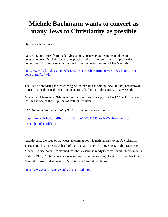## **Michele Bachmann wants to convert as many Jews to Christianity as possible**

By Joshua R. Simons

According to a story from thedailybeast.com, former Presidential candidate and congresswoman Michele Bachmann proclaimed that she feels more people need to convert to Christianity in anticipation for the imminent coming of the Messiah.

[http://www.thedailybeast.com/cheats/2015/11/08/bachman-convert-jews-before-jesus](http://www.thedailybeast.com/cheats/2015/11/08/bachman-convert-jews-before-jesus-comes.html?ref=yfp)[comes.html?ref=yfp](http://www.thedailybeast.com/cheats/2015/11/08/bachman-convert-jews-before-jesus-comes.html?ref=yfp)

The idea of preparing for the coming of the messiah is nothing new. In fact, unbeknown to many, a fundamental tenant of Judaism is the belief in the coming of a Messiah.

Moshe ben Maimon of "Maimonides", a great Jewish sage from the  $12<sup>th</sup>$  century writes that this is one of the 13 pillars of faith of Judaism.

*"12. The belief in the arrival of the Messiah and the messianic era."* 

[\(http://www.chabad.org/library/article\\_cdo/aid/332555/jewish/Maimonides-13-](http://www.chabad.org/library/article_cdo/aid/332555/jewish/Maimonides-13-Principles-of-Faith.htm) [Principles-of-Faith.htm\)](http://www.chabad.org/library/article_cdo/aid/332555/jewish/Maimonides-13-Principles-of-Faith.htm)

Additionally, the idea of the Messiah coming soon is nothing new to the Jewish faith. Throughout his 44 years as head of the Chabad-Lubavitch movement, Rabbi Menachem Mendel Schneersohn, proclaimed that the Messiah is ready to come. In an interview with CNN is 1992, Rabbi Schneersohn was asked what his message to the world is about the Messiah. Here is what he said: (Moshiach is Messiah in Hebrew)

[https://www.youtube.com/watch?v=6nc\\_1XdilH8](https://www.youtube.com/watch?v=6nc_1XdilH8)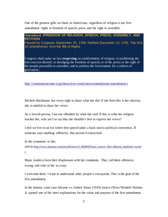One of the greatest gifts we share as Americans, regardless of religion is our first amendment rights to freedom of speech, press, and the right to assemble.

## **Amendment IFREEDOM OF RELIGION, SPEECH, PRESS, ASSEMBLY, AND PETITION**

Passed by Congress September 25, 1789. Ratified December 15, 1791. The first 10 amendments form the Bill of Rights

Congress shall make no law **respecting** an establishment of religion, or prohibiting the free exercise thereof; or abridging the freedom of speech, or of the press; or the right of the people peaceably to assemble, and to petition the Government for a redress of grievances.

<http://constitutioncenter.org/interactive-constitution/amendments/amendment-i>

Michele Bachmann has every right to share what she did. If she feels this is her mission, she is entitled to share her views.

As a Jewish person, I am not offended by what she said. If this is what her religion teaches her, who am I to say that she shouldn't feel or express her views?

I feel we live in an era where free speech takes a back seat to political correctness. If someone says anything offensive, that person is ostracized.

In the comments to this

article [http://www.haaretz.com/jewish/news/1.684848?utm\\_source=dlvr.it&utm\\_medium=twitte](http://www.haaretz.com/jewish/news/1.684848?utm_source=dlvr.it&utm_medium=twitter)

[r](http://www.haaretz.com/jewish/news/1.684848?utm_source=dlvr.it&utm_medium=twitter)

Many readers claim their displeasure with her comments. They call them offensive, wrong, and refer to her as crazy.

I welcome them. I want to understand other people's viewpoints. This is the goal of the first amendment.

In the famous court case Abrams vs. United States (1919) Justice Oliver Wendell Holmes Jr. quoted one of the most explanations for the value and purpose of the first amendment.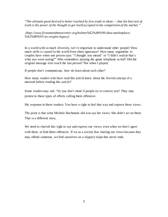*"The ultimate good desired is better reached by free trade in ideas — that the best test of truth is the power of the thought to get itself accepted in the competition of the market."*

*(http://www.firstamendmentcenter.org/holmes%E2%80%99-idea-marketplace- %E2%80%93-its-origins-legacy)*

In a world with so much diversity, isn't it important to understand other people? How much strife is caused in the world from sheer ignorance? How many arguments to couples have when one person says: "I thought you meant" or "I didn't realize that's what you were saying?" Who remembers playing the game telephone as kid? Did the original message ever reach the last person? Not when I played.

If people don't communicate, how do learn about each other?

How many readers who have read this article knew about the Jewish concept of a messiah before reading this article?

Some readers may ask: "So you don't mind if people try to convert you? They may protest to these types of efforts calling them offensive.

My response to those readers: You have a right to feel that way and express those views.

The point is that what Michele Bachmann did was say her views. She didn't act on them. That is a different story.

We need to cherish this right to say and express our views, even when we don't agree with them, or find them offensive. If we as a society fear sharing our views because they may offend someone, we find ourselves on a slippery slope that never ends.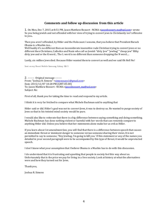## **Comments and follow up discussion from this article**

1. On Mon, Dec 7, 2015 at 8:51 PM, Jason Matthew Bossert - NCMA [<jasonbossert\\_ma@aol.com>](mailto:jasonbossert_ma@aol.com) wrote: So you being jewish and not offended with her view of trying to convert jews to Christianity isn't offensive to you..

Then you aren't offended, by Hitler and the Holocaust. I assume, that you believe that President Barack Obama is a Muslim too...

Well buddy it's no different then an inconsiderate insensitive rude Christian trying to convert jews or no different then Christians, Catholics and Nazis who call us Jewish "dirty Jew" "jewbag" "cheap jew" filthy dirty jew and or the K word... The L word is no different than someone dropping the N word.....

Lastly, six million Jews died. Because Hitler wanted them to convert as well and we said Oh Hell No!

Sent on my Boost Mobile Samsung Galaxy S® 5

2. -------- Original message -------- From: "Joshua R. Simons" [<simonssays1@gmail.com>](mailto:simonssays1@gmail.com) Date: 2015/12/07 10:28 PM (GMT-05:00) To: Jason Matthew Bossert - NCMA <*jasonbossert\_ma@aol.com*> Subject: Re:

First of all, thank you for taking the time to read and respond to my article.

I think it is very far fetched to compare what Michele Bachman said to anything that

Hitler said or did. Hitler's goal was not to convert Jews, it was to destroy us. He wanted to purge society of Jews so that in his twisted mind society would be pure.

I would also like to reiterate that there is a big difference between saying something and doing something. Michele Bachman has done nothing violent or harmful with her words that can remotely compare to anything Hitler did. Unless you believe that her statements alone make her as evil as Hitler.

If you learn about 1st amendment law, you will find that there is a difference between speech that causes an immediate threat or imminent danger to someone versus someone sharing their views. It is not permitted to say to someone, "Hey Jewbag, I'm going to kill you.' If this statement or any of the names you detailed in your second paragraph were to be accompanied by this type of threat, it would be unprotected speech.

I don't know what your assumption that I believe Obama is a Muslim has to do with this discussion.

I do understand that it is frustrating and upsetting that people in society feel this way about us. Unfortunately that is the price we pay for living in a free society. Look at history at what the alternatives were and how they turned out for Jews.

Thank you,

Joshua R. Simons